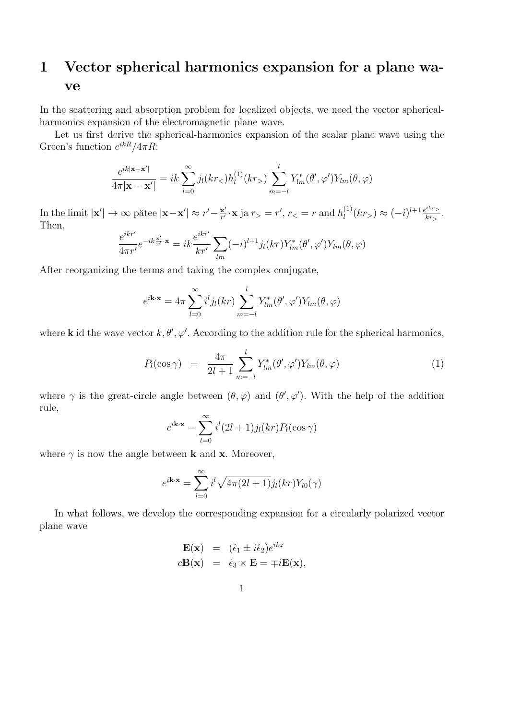## 1 Vector spherical harmonics expansion for a plane wave

In the scattering and absorption problem for localized objects, we need the vector sphericalharmonics expansion of the electromagnetic plane wave.

Let us first derive the spherical-harmonics expansion of the scalar plane wave using the Green's function  $e^{ikR}/4\pi R$ :

$$
\frac{e^{ik|\mathbf{x}-\mathbf{x}'|}}{4\pi|\mathbf{x}-\mathbf{x}'|} = ik \sum_{l=0}^{\infty} j_l(kr_<)h_l^{(1)}(kr_>) \sum_{m=-l}^{l} Y_{lm}^*(\theta', \varphi')Y_{lm}(\theta, \varphi)
$$

In the limit  $|\mathbf{x}'| \to \infty$  pätee  $|\mathbf{x} - \mathbf{x}'| \approx r' - \frac{\mathbf{x}'}{r'}$  $\frac{\mathbf{x}'}{r'} \cdot \mathbf{x}$  ja  $r_{>} = r'$ ,  $r_{<} = r$  and  $h_l^{(1)}$  $l_l^{(1)}(kr) \approx (-i)^{l+1} \frac{e^{ikr}}{kr}$  $\frac{k r}{kr}$ . Then,

$$
\frac{e^{ikr'}}{4\pi r'}e^{-ik\frac{\mathbf{x}'}{r'}\cdot\mathbf{x}} = ik\frac{e^{ikr'}}{kr'}\sum_{lm}(-i)^{l+1}j_l(kr)Y_{lm}^*(\theta',\varphi')Y_{lm}(\theta,\varphi)
$$

After reorganizing the terms and taking the complex conjugate,

$$
e^{i\mathbf{k}\cdot\mathbf{x}} = 4\pi \sum_{l=0}^{\infty} i^l j_l(kr) \sum_{m=-l}^{l} Y_{lm}^*(\theta', \varphi') Y_{lm}(\theta, \varphi)
$$

where **k** id the wave vector  $k, \theta', \varphi'$ . According to the addition rule for the spherical harmonics,

$$
P_l(\cos \gamma) = \frac{4\pi}{2l+1} \sum_{m=-l}^{l} Y_{lm}^*(\theta', \varphi') Y_{lm}(\theta, \varphi)
$$
 (1)

where  $\gamma$  is the great-circle angle between  $(\theta, \varphi)$  and  $(\theta', \varphi')$ . With the help of the addition rule,

$$
e^{i\mathbf{k}\cdot\mathbf{x}} = \sum_{l=0}^{\infty} i^l (2l+1) j_l(kr) P_l(\cos\gamma)
$$

where  $\gamma$  is now the angle between **k** and **x**. Moreover,

$$
e^{i\mathbf{k}\cdot\mathbf{x}} = \sum_{l=0}^{\infty} i^l \sqrt{4\pi (2l+1)} j_l(kr) Y_{l0}(\gamma)
$$

In what follows, we develop the corresponding expansion for a circularly polarized vector plane wave

$$
\mathbf{E}(\mathbf{x}) = (\hat{\epsilon}_1 \pm i\hat{\epsilon}_2)e^{ikz} \n\mathbf{c}\mathbf{B}(\mathbf{x}) = \hat{\epsilon}_3 \times \mathbf{E} = \mp i\mathbf{E}(\mathbf{x}),
$$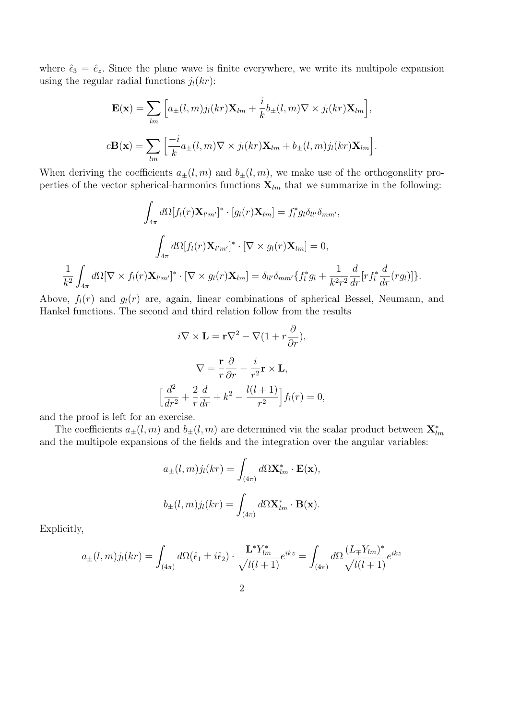where  $\hat{\epsilon}_3 = \hat{e}_z$ . Since the plane wave is finite everywhere, we write its multipole expansion using the regular radial functions  $j_l(kr)$ :

$$
\mathbf{E}(\mathbf{x}) = \sum_{lm} \left[ a_{\pm}(l,m) j_l(kr) \mathbf{X}_{lm} + \frac{i}{k} b_{\pm}(l,m) \nabla \times j_l(kr) \mathbf{X}_{lm} \right],
$$
  

$$
c\mathbf{B}(\mathbf{x}) = \sum_{lm} \left[ \frac{-i}{k} a_{\pm}(l,m) \nabla \times j_l(kr) \mathbf{X}_{lm} + b_{\pm}(l,m) j_l(kr) \mathbf{X}_{lm} \right].
$$

When deriving the coefficients  $a_{\pm}(l,m)$  and  $b_{\pm}(l,m)$ , we make use of the orthogonality properties of the vector spherical-harmonics functions  $\mathbf{X}_{lm}$  that we summarize in the following:

$$
\int_{4\pi} d\Omega[f_l(r)\mathbf{X}_{l'm'}]^* \cdot [g_l(r)\mathbf{X}_{lm}] = f_l^* g_l \delta_{ll'} \delta_{mm'},
$$

$$
\int_{4\pi} d\Omega[f_l(r)\mathbf{X}_{l'm'}]^* \cdot [\nabla \times g_l(r)\mathbf{X}_{lm}] = 0,
$$

$$
\frac{1}{k^2} \int_{4\pi} d\Omega[\nabla \times f_l(r)\mathbf{X}_{l'm'}]^* \cdot [\nabla \times g_l(r)\mathbf{X}_{lm}] = \delta_{ll'} \delta_{mm'} \{f_l^* g_l + \frac{1}{k^2 r^2} \frac{d}{dr} [r f_l^* \frac{d}{dr}(rg_l)]\}.
$$

Above,  $f_l(r)$  and  $g_l(r)$  are, again, linear combinations of spherical Bessel, Neumann, and Hankel functions. The second and third relation follow from the results

$$
i\nabla \times \mathbf{L} = \mathbf{r}\nabla^2 - \nabla (1 + r\frac{\partial}{\partial r}),
$$

$$
\nabla = \frac{\mathbf{r}}{r}\frac{\partial}{\partial r} - \frac{i}{r^2}\mathbf{r} \times \mathbf{L},
$$

$$
\left[\frac{d^2}{dr^2} + \frac{2}{r}\frac{d}{dr} + k^2 - \frac{l(l+1)}{r^2}\right] f_l(r) = 0,
$$

and the proof is left for an exercise.

The coefficients  $a_{\pm}(l,m)$  and  $b_{\pm}(l,m)$  are determined via the scalar product between  $\mathbf{X}_{lm}^*$ and the multipole expansions of the fields and the integration over the angular variables:

$$
a_{\pm}(l,m)j_l(kr) = \int_{(4\pi)} d\Omega \mathbf{X}_{lm}^* \cdot \mathbf{E}(\mathbf{x}),
$$
  

$$
b_{\pm}(l,m)j_l(kr) = \int_{(4\pi)} d\Omega \mathbf{X}_{lm}^* \cdot \mathbf{B}(\mathbf{x}).
$$

Explicitly,

$$
a_{\pm}(l,m)j_{l}(kr) = \int_{(4\pi)} d\Omega(\hat{\epsilon}_{1} \pm i\hat{\epsilon}_{2}) \cdot \frac{\mathbf{L}^{*}Y_{lm}^{*}}{\sqrt{l(l+1)}} e^{ikz} = \int_{(4\pi)} d\Omega \frac{(L_{\mp}Y_{lm})^{*}}{\sqrt{l(l+1)}} e^{ikz}
$$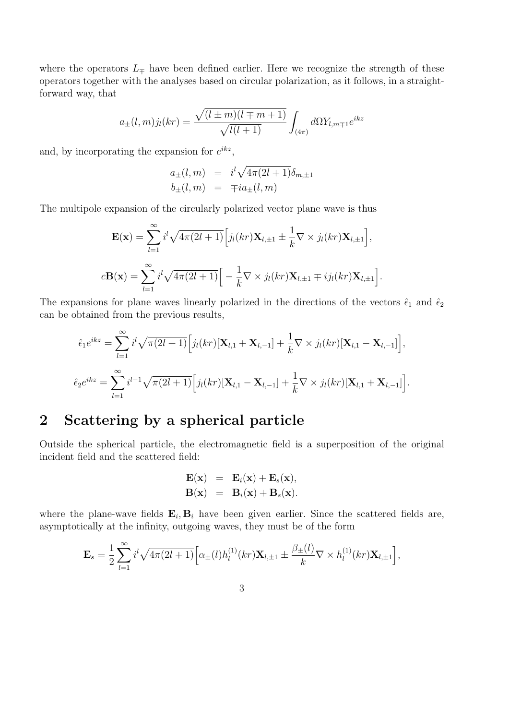where the operators  $L_{\pm}$  have been defined earlier. Here we recognize the strength of these operators together with the analyses based on circular polarization, as it follows, in a straightforward way, that

$$
a_{\pm}(l,m)j_l(kr) = \frac{\sqrt{(l \pm m)(l \mp m + 1)}}{\sqrt{l(l+1)}} \int_{(4\pi)} d\Omega Y_{l,m\mp 1}e^{ikz}
$$

and, by incorporating the expansion for  $e^{ikz}$ ,

$$
a_{\pm}(l,m) = i^l \sqrt{4\pi (2l+1)} \delta_{m,\pm 1}
$$
  

$$
b_{\pm}(l,m) = \mp i a_{\pm}(l,m)
$$

The multipole expansion of the circularly polarized vector plane wave is thus

$$
\mathbf{E}(\mathbf{x}) = \sum_{l=1}^{\infty} i^l \sqrt{4\pi (2l+1)} \Big[ j_l(kr) \mathbf{X}_{l,\pm 1} \pm \frac{1}{k} \nabla \times j_l(kr) \mathbf{X}_{l,\pm 1} \Big],
$$
  

$$
c\mathbf{B}(\mathbf{x}) = \sum_{l=1}^{\infty} i^l \sqrt{4\pi (2l+1)} \Big[ -\frac{1}{k} \nabla \times j_l(kr) \mathbf{X}_{l,\pm 1} \mp i j_l(kr) \mathbf{X}_{l,\pm 1} \Big].
$$

The expansions for plane waves linearly polarized in the directions of the vectors  $\hat{\epsilon}_1$  and  $\hat{\epsilon}_2$ can be obtained from the previous results,

$$
\hat{\epsilon}_1 e^{ikz} = \sum_{l=1}^{\infty} i^l \sqrt{\pi(2l+1)} \Big[ j_l(kr)[\mathbf{X}_{l,1} + \mathbf{X}_{l,-1}] + \frac{1}{k} \nabla \times j_l(kr)[\mathbf{X}_{l,1} - \mathbf{X}_{l,-1}] \Big],
$$
  

$$
\hat{\epsilon}_2 e^{ikz} = \sum_{l=1}^{\infty} i^{l-1} \sqrt{\pi(2l+1)} \Big[ j_l(kr)[\mathbf{X}_{l,1} - \mathbf{X}_{l,-1}] + \frac{1}{k} \nabla \times j_l(kr)[\mathbf{X}_{l,1} + \mathbf{X}_{l,-1}] \Big].
$$

## 2 Scattering by a spherical particle

Outside the spherical particle, the electromagnetic field is a superposition of the original incident field and the scattered field:

$$
\mathbf{E}(\mathbf{x}) = \mathbf{E}_i(\mathbf{x}) + \mathbf{E}_s(\mathbf{x}),
$$
  

$$
\mathbf{B}(\mathbf{x}) = \mathbf{B}_i(\mathbf{x}) + \mathbf{B}_s(\mathbf{x}).
$$

where the plane-wave fields  $\mathbf{E}_i$ ,  $\mathbf{B}_i$  have been given earlier. Since the scattered fields are, asymptotically at the infinity, outgoing waves, they must be of the form

$$
\mathbf{E}_s = \frac{1}{2} \sum_{l=1}^{\infty} i^l \sqrt{4\pi (2l+1)} \Big[ \alpha_{\pm}(l) h_l^{(1)}(kr) \mathbf{X}_{l,\pm 1} \pm \frac{\beta_{\pm}(l)}{k} \nabla \times h_l^{(1)}(kr) \mathbf{X}_{l,\pm 1} \Big],
$$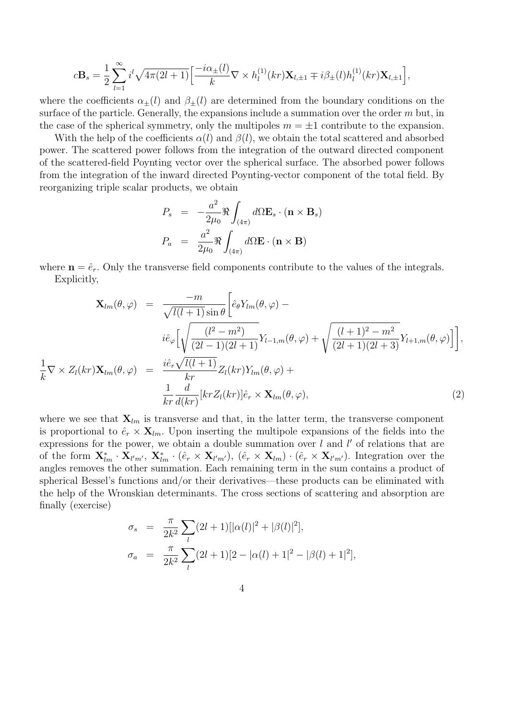$$
c\mathbf{B}_s = \frac{1}{2}\sum_{l=1}^{\infty} i^l \sqrt{4\pi(2l+1)} \Big[\frac{-i\alpha_{\pm}(l)}{k} \nabla \times h_l^{(1)}(kr)\mathbf{X}_{l,\pm 1} \mp i\beta_{\pm}(l)h_l^{(1)}(kr)\mathbf{X}_{l,\pm 1}\Big],
$$

where the coefficients  $\alpha_{\pm}(l)$  and  $\beta_{\pm}(l)$  are determined from the boundary conditions on the surface of the particle. Generally, the expansions include a summation over the order  $m$  but, in the case of the spherical symmetry, only the multipoles  $m = \pm 1$  contribute to the expansion.

With the help of the coefficients  $\alpha(l)$  and  $\beta(l)$ , we obtain the total scattered and absorbed power. The scattered power follows from the integration of the outward directed component of the scattered-field Poynting vector over the spherical surface. The absorbed power follows from the integration of the inward directed Poynting-vector component of the total field. By reorganizing triple scalar products, we obtain

$$
P_s = -\frac{a^2}{2\mu_0} \Re \int_{(4\pi)} d\Omega \mathbf{E}_s \cdot (\mathbf{n} \times \mathbf{B}_s)
$$

$$
P_a = \frac{a^2}{2\mu_0} \Re \int_{(4\pi)} d\Omega \mathbf{E} \cdot (\mathbf{n} \times \mathbf{B})
$$

where  $\mathbf{n} = \hat{e}_r$ . Only the transverse field components contribute to the values of the integrals. Explicitly,

1 k

$$
\mathbf{X}_{lm}(\theta,\varphi) = \frac{-m}{\sqrt{l(l+1)}\sin\theta} \Big[ \hat{e}_{\theta} Y_{lm}(\theta,\varphi) - i \hat{e}_{\varphi} \Big[ \sqrt{\frac{(l^2 - m^2)}{(2l-1)(2l+1)}} Y_{l-1,m}(\theta,\varphi) + \sqrt{\frac{(l+1)^2 - m^2}{(2l+1)(2l+3)}} Y_{l+1,m}(\theta,\varphi) \Big] \Big],
$$
  

$$
\nabla \times Z_{l}(kr) \mathbf{X}_{lm}(\theta,\varphi) = \frac{i \hat{e}_{r} \sqrt{l(l+1)}}{kr} Z_{l}(kr) Y_{lm}(\theta,\varphi) + i \frac{1}{kr} \frac{d}{d(kr)} [kr Z_{l}(kr)] \hat{e}_{r} \times \mathbf{X}_{lm}(\theta,\varphi), \qquad (2)
$$

where we see that  $\mathbf{X}_{lm}$  is transverse and that, in the latter term, the transverse component is proportional to  $\hat{e}_r \times \mathbf{X}_{lm}$ . Upon inserting the multipole expansions of the fields into the expressions for the power, we obtain a double summation over  $l$  and  $l'$  of relations that are of the form  $\mathbf{X}_{lm}^* \cdot \mathbf{X}_{l'm'}$ ,  $\mathbf{X}_{lm}^* \cdot (\hat{e}_r \times \mathbf{X}_{l'm'})$ ,  $(\hat{e}_r \times \mathbf{X}_{lm}) \cdot (\hat{e}_r \times \mathbf{X}_{l'm'})$ . Integration over the angles removes the other summation. Each remaining term in the sum contains a product of spherical Bessel's functions and/or their derivatives—these products can be eliminated with the help of the Wronskian determinants. The cross sections of scattering and absorption are finally (exercise)

$$
\sigma_s = \frac{\pi}{2k^2} \sum_l (2l+1) [|\alpha(l)|^2 + |\beta(l)|^2],
$$
  
\n
$$
\sigma_a = \frac{\pi}{2k^2} \sum_l (2l+1)[2 - |\alpha(l)+1|^2 - |\beta(l)+1|^2],
$$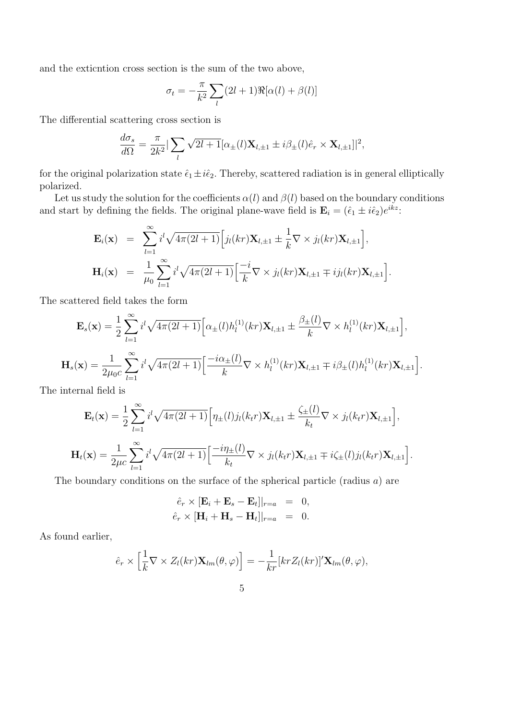and the exticntion cross section is the sum of the two above,

$$
\sigma_t = -\frac{\pi}{k^2} \sum_l (2l+1) \Re[\alpha(l) + \beta(l)]
$$

The differential scattering cross section is

$$
\frac{d\sigma_s}{d\Omega} = \frac{\pi}{2k^2} |\sum_l \sqrt{2l+1} [\alpha_{\pm}(l) \mathbf{X}_{l,\pm 1} \pm i\beta_{\pm}(l)\hat{e}_r \times \mathbf{X}_{l,\pm 1}]|^2,
$$

for the original polarization state  $\hat{\epsilon}_1 \pm i\hat{\epsilon}_2$ . Thereby, scattered radiation is in general elliptically polarized.

Let us study the solution for the coefficients  $\alpha(l)$  and  $\beta(l)$  based on the boundary conditions and start by defining the fields. The original plane-wave field is  $\mathbf{E}_i = (\hat{\epsilon}_1 \pm i\hat{\epsilon}_2)e^{ikz}$ .

$$
\mathbf{E}_{i}(\mathbf{x}) = \sum_{l=1}^{\infty} i^{l} \sqrt{4\pi (2l+1)} \Big[ j_{l}(kr) \mathbf{X}_{l,\pm 1} \pm \frac{1}{k} \nabla \times j_{l}(kr) \mathbf{X}_{l,\pm 1} \Big],
$$
  

$$
\mathbf{H}_{i}(\mathbf{x}) = \frac{1}{\mu_{0}} \sum_{l=1}^{\infty} i^{l} \sqrt{4\pi (2l+1)} \Big[ \frac{-i}{k} \nabla \times j_{l}(kr) \mathbf{X}_{l,\pm 1} \mp i j_{l}(kr) \mathbf{X}_{l,\pm 1} \Big].
$$

The scattered field takes the form

$$
\mathbf{E}_s(\mathbf{x}) = \frac{1}{2} \sum_{l=1}^{\infty} i^l \sqrt{4\pi (2l+1)} \Big[ \alpha_{\pm}(l) h_l^{(1)}(kr) \mathbf{X}_{l,\pm 1} \pm \frac{\beta_{\pm}(l)}{k} \nabla \times h_l^{(1)}(kr) \mathbf{X}_{l,\pm 1} \Big],
$$
  

$$
\mathbf{H}_s(\mathbf{x}) = \frac{1}{2\mu_0 c} \sum_{l=1}^{\infty} i^l \sqrt{4\pi (2l+1)} \Big[ \frac{-i\alpha_{\pm}(l)}{k} \nabla \times h_l^{(1)}(kr) \mathbf{X}_{l,\pm 1} \mp i\beta_{\pm}(l) h_l^{(1)}(kr) \mathbf{X}_{l,\pm 1} \Big].
$$

The internal field is

$$
\mathbf{E}_{t}(\mathbf{x}) = \frac{1}{2} \sum_{l=1}^{\infty} i^{l} \sqrt{4\pi (2l+1)} \Big[ \eta_{\pm}(l) j_{l}(k_{t}r) \mathbf{X}_{l,\pm 1} \pm \frac{\zeta_{\pm}(l)}{k_{t}} \nabla \times j_{l}(k_{t}r) \mathbf{X}_{l,\pm 1} \Big],
$$
  

$$
\mathbf{H}_{t}(\mathbf{x}) = \frac{1}{2\mu c} \sum_{l=1}^{\infty} i^{l} \sqrt{4\pi (2l+1)} \Big[ \frac{-i\eta_{\pm}(l)}{k_{t}} \nabla \times j_{l}(k_{t}r) \mathbf{X}_{l,\pm 1} \mp i\zeta_{\pm}(l) j_{l}(k_{t}r) \mathbf{X}_{l,\pm 1} \Big].
$$

The boundary conditions on the surface of the spherical particle (radius a) are

$$
\hat{e}_r \times [\mathbf{E}_i + \mathbf{E}_s - \mathbf{E}_t]|_{r=a} = 0,
$$
  

$$
\hat{e}_r \times [\mathbf{H}_i + \mathbf{H}_s - \mathbf{H}_t]|_{r=a} = 0.
$$

As found earlier,

$$
\hat{e}_r \times \left[\frac{1}{k} \nabla \times Z_l(kr) \mathbf{X}_{lm}(\theta, \varphi)\right] = -\frac{1}{kr} [kr Z_l(kr)]' \mathbf{X}_{lm}(\theta, \varphi),
$$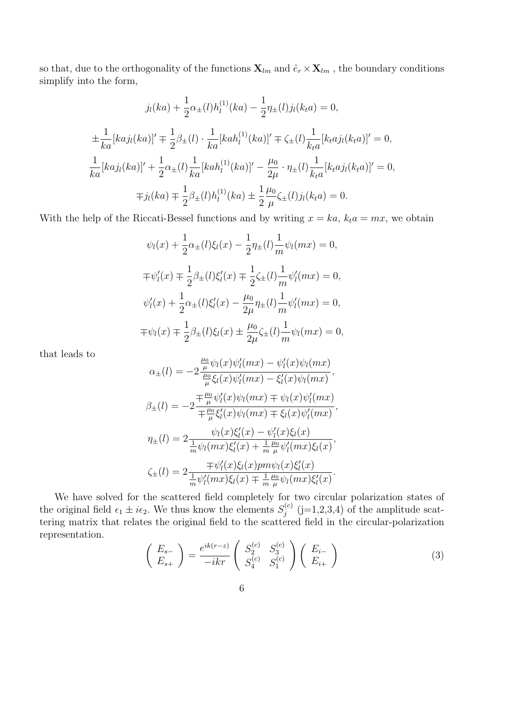so that, due to the orthogonality of the functions  $\mathbf{X}_{lm}$  and  $\hat{e}_r \times \mathbf{X}_{lm}$ , the boundary conditions simplify into the form,

$$
j_l(ka) + \frac{1}{2}\alpha_{\pm}(l)h_l^{(1)}(ka) - \frac{1}{2}\eta_{\pm}(l)j_l(k_t a) = 0,
$$
  

$$
\pm \frac{1}{ka}[kaj_l(ka)]' \mp \frac{1}{2}\beta_{\pm}(l) \cdot \frac{1}{ka}[kah_l^{(1)}(ka)]' \mp \zeta_{\pm}(l)\frac{1}{k_t a}[k_t aj_l(k_t a)]' = 0,
$$
  

$$
\frac{1}{ka}[kaj_l(ka)]' + \frac{1}{2}\alpha_{\pm}(l)\frac{1}{ka}[kah_l^{(1)}(ka)]' - \frac{\mu_0}{2\mu} \cdot \eta_{\pm}(l)\frac{1}{k_t a}[k_t aj_l(k_t a)]' = 0,
$$
  

$$
\mp j_l(ka) \mp \frac{1}{2}\beta_{\pm}(l)h_l^{(1)}(ka) \pm \frac{1}{2}\frac{\mu_0}{\mu}\zeta_{\pm}(l)j_l(k_t a) = 0.
$$

With the help of the Riccati-Bessel functions and by writing  $x = ka$ ,  $k_t a = mx$ , we obtain

$$
\psi_l(x) + \frac{1}{2}\alpha_{\pm}(l)\xi_l(x) - \frac{1}{2}\eta_{\pm}(l)\frac{1}{m}\psi_l(mx) = 0,
$$
  

$$
\mp\psi'_l(x) \mp \frac{1}{2}\beta_{\pm}(l)\xi'_l(x) \mp \frac{1}{2}\zeta_{\pm}(l)\frac{1}{m}\psi'_l(mx) = 0,
$$
  

$$
\psi'_l(x) + \frac{1}{2}\alpha_{\pm}(l)\xi'_l(x) - \frac{\mu_0}{2\mu}\eta_{\pm}(l)\frac{1}{m}\psi'_l(mx) = 0,
$$
  

$$
\mp\psi_l(x) \mp \frac{1}{2}\beta_{\pm}(l)\xi_l(x) \pm \frac{\mu_0}{2\mu}\zeta_{\pm}(l)\frac{1}{m}\psi_l(mx) = 0,
$$

that leads to

$$
\alpha_{\pm}(l) = -2 \frac{\frac{\mu_0}{\mu} \psi_l(x) \psi'_l(mx) - \psi'_l(x) \psi_l(mx)}{\frac{\mu_0}{\mu} \xi_l(x) \psi'_l(mx) - \xi'_l(x) \psi_l(mx)},
$$
  

$$
\beta_{\pm}(l) = -2 \frac{\mp \frac{\mu_0}{\mu} \psi'_l(x) \psi_l(mx) \mp \psi_l(x) \psi'_l(mx)}{\mp \frac{\mu_0}{\mu} \xi'_l(x) \psi_l(mx) \mp \xi_l(x) \psi'_l(mx)},
$$
  

$$
\eta_{\pm}(l) = 2 \frac{\psi_l(x) \xi'_l(x) - \psi'_l(x) \xi_l(x)}{\frac{1}{m} \psi_l(mx) \xi'_l(x) + \frac{1}{m} \frac{\mu_0}{\mu} \psi'_l(mx) \xi_l(x)},
$$
  

$$
\zeta_{\pm}(l) = 2 \frac{\mp \psi'_l(x) \xi_l(x) pm \psi_l(x) \xi'_l(x)}{\frac{1}{m} \psi'_l(mx) \xi_l(x) \mp \frac{1}{m} \frac{\mu_0}{\mu} \psi_l(mx) \xi'_l(x)}.
$$

We have solved for the scattered field completely for two circular polarization states of the original field  $\epsilon_1 \pm i\epsilon_2$ . We thus know the elements  $S_i^{(c)}$  $j_j^{(c)}$  (j=1,2,3,4) of the amplitude scattering matrix that relates the original field to the scattered field in the circular-polarization representation.

$$
\begin{pmatrix} E_{s-} \\ E_{s+} \end{pmatrix} = \frac{e^{ik(r-z)}}{-ikr} \begin{pmatrix} S_2^{(c)} & S_3^{(c)} \\ S_4^{(c)} & S_1^{(c)} \end{pmatrix} \begin{pmatrix} E_{i-} \\ E_{i+} \end{pmatrix}
$$
 (3)